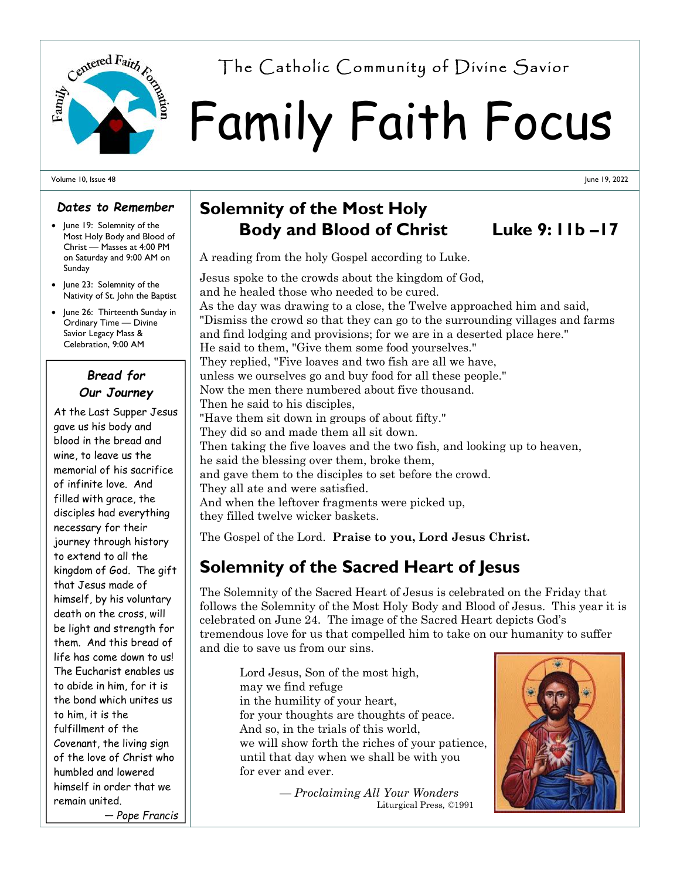

# Family Faith Focus Centered Fairth  $r_{\alpha}$  The Catholic Community of Divine Savior

#### Volume 10, Issue 48

#### *Dates to Remember*

- June 19: Solemnity of the Most Holy Body and Blood of Christ — Masses at 4:00 PM on Saturday and 9:00 AM on Sunday
- June 23: Solemnity of the Nativity of St. John the Baptist
- June 26: Thirteenth Sunday in Ordinary Time — Divine Savior Legacy Mass & Celebration, 9:00 AM

### *Bread for Our Journey*

At the Last Supper Jesus gave us his body and blood in the bread and wine, to leave us the memorial of his sacrifice of infinite love. And filled with grace, the disciples had everything necessary for their journey through history to extend to all the kingdom of God. The gift that Jesus made of himself, by his voluntary death on the cross, will be light and strength for them. And this bread of life has come down to us! The Eucharist enables us to abide in him, for it is the bond which unites us to him, it is the fulfillment of the Covenant, the living sign of the love of Christ who humbled and lowered himself in order that we remain united. *— Pope Francis*

## **Solemnity of the Most Holy Body and Blood of Christ Luke 9: 11b –17**

A reading from the holy Gospel according to Luke.

Jesus spoke to the crowds about the kingdom of God, and he healed those who needed to be cured. As the day was drawing to a close, the Twelve approached him and said, "Dismiss the crowd so that they can go to the surrounding villages and farms and find lodging and provisions; for we are in a deserted place here." He said to them, "Give them some food yourselves." They replied, "Five loaves and two fish are all we have, unless we ourselves go and buy food for all these people." Now the men there numbered about five thousand. Then he said to his disciples, "Have them sit down in groups of about fifty." They did so and made them all sit down. Then taking the five loaves and the two fish, and looking up to heaven, he said the blessing over them, broke them, and gave them to the disciples to set before the crowd. They all ate and were satisfied. And when the leftover fragments were picked up, they filled twelve wicker baskets.

The Gospel of the Lord. **Praise to you, Lord Jesus Christ.** 

## **Solemnity of the Sacred Heart of Jesus**

The Solemnity of the Sacred Heart of Jesus is celebrated on the Friday that follows the Solemnity of the Most Holy Body and Blood of Jesus. This year it is celebrated on June 24. The image of the Sacred Heart depicts God's tremendous love for us that compelled him to take on our humanity to suffer and die to save us from our sins.

 Lord Jesus, Son of the most high, may we find refuge in the humility of your heart, for your thoughts are thoughts of peace. And so, in the trials of this world, we will show forth the riches of your patience, until that day when we shall be with you for ever and ever.

> *— Proclaiming All Your Wonders* Liturgical Press*, ©*1991



June 19, 2022